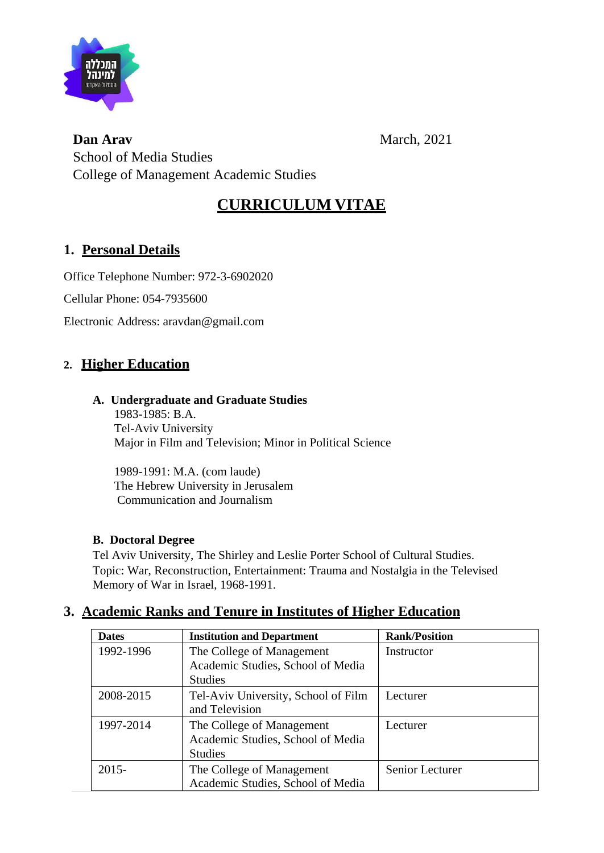

**Dan Arav** March, 2021 School of Media Studies College of Management Academic Studies

# **CURRICULUM VITAE**

# **1. Personal Details**

Office Telephone Number: 972-3-6902020

Cellular Phone: 054-7935600

Electronic Address: aravdan@gmail.com

# **2. Higher Education**

#### **A. Undergraduate and Graduate Studies**

1983-1985: B.A. Tel-Aviv University Major in Film and Television; Minor in Political Science

1989-1991: M.A. (com laude) The Hebrew University in Jerusalem Communication and Journalism

### **B. Doctoral Degree**

Tel Aviv University, The Shirley and Leslie Porter School of Cultural Studies. Topic: War, Reconstruction, Entertainment: Trauma and Nostalgia in the Televised Memory of War in Israel, 1968-1991.

# **3. Academic Ranks and Tenure in Institutes of Higher Education**

| <b>Dates</b> | <b>Institution and Department</b>                                                | <b>Rank/Position</b> |
|--------------|----------------------------------------------------------------------------------|----------------------|
| 1992-1996    | The College of Management<br>Academic Studies, School of Media<br><b>Studies</b> | Instructor           |
| 2008-2015    | Tel-Aviv University, School of Film<br>and Television                            | Lecturer             |
| 1997-2014    | The College of Management<br>Academic Studies, School of Media<br><b>Studies</b> | Lecturer             |
| $2015 -$     | The College of Management<br>Academic Studies, School of Media                   | Senior Lecturer      |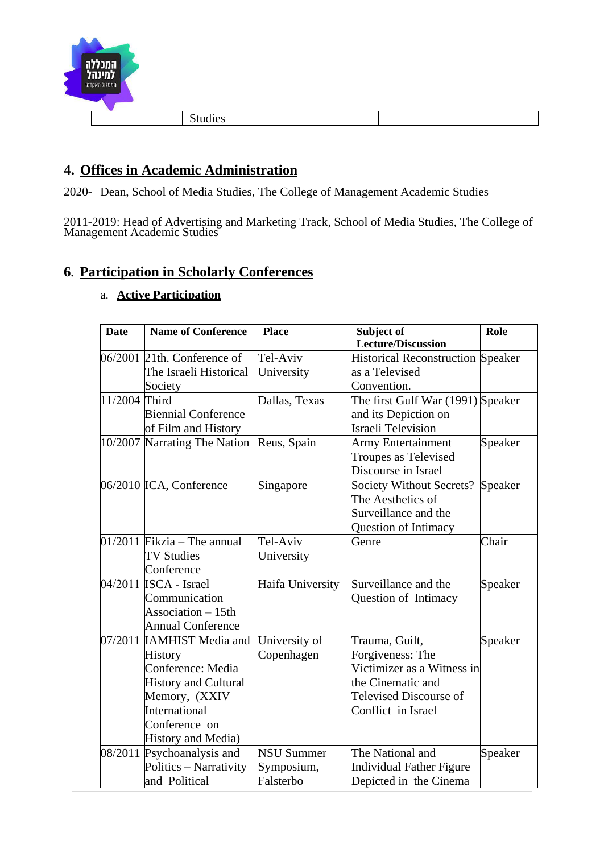

# **4. Offices in Academic Administration**

2020- Dean, School of Media Studies, The College of Management Academic Studies

2011-2019: Head of Advertising and Marketing Track, School of Media Studies, The College of Management Academic Studies

# **6. Participation in Scholarly Conferences**

| a. Active Participation |
|-------------------------|
|                         |

| <b>Date</b>   | <b>Name of Conference</b>     | <b>Place</b>      | Subject of                               | Role    |
|---------------|-------------------------------|-------------------|------------------------------------------|---------|
|               |                               |                   | <b>Lecture/Discussion</b>                |         |
|               | $06/2001$ 21th. Conference of | Tel-Aviv          | <b>Historical Reconstruction Speaker</b> |         |
|               | The Israeli Historical        | University        | as a Televised                           |         |
|               | Society                       |                   | Convention.                              |         |
| 11/2004 Third |                               | Dallas, Texas     | The first Gulf War (1991) Speaker        |         |
|               | <b>Biennial Conference</b>    |                   | and its Depiction on                     |         |
|               | of Film and History           |                   | <b>Israeli Television</b>                |         |
|               | 10/2007 Narrating The Nation  | Reus, Spain       | <b>Army Entertainment</b>                | Speaker |
|               |                               |                   | Troupes as Televised                     |         |
|               |                               |                   | Discourse in Israel                      |         |
|               | 06/2010 ICA, Conference       | Singapore         | Society Without Secrets?                 | Speaker |
|               |                               |                   | The Aesthetics of                        |         |
|               |                               |                   | Surveillance and the                     |         |
|               |                               |                   | Question of Intimacy                     |         |
|               | $01/2011$ Fikzia – The annual | Tel-Aviv          | Genre                                    | Chair   |
|               | <b>TV Studies</b>             | University        |                                          |         |
|               | Conference                    |                   |                                          |         |
|               | 04/2011 <b>ISCA</b> - Israel  | Haifa University  | Surveillance and the                     | Speaker |
|               | Communication                 |                   | Question of Intimacy                     |         |
|               | Association - 15th            |                   |                                          |         |
|               | <b>Annual Conference</b>      |                   |                                          |         |
|               | 07/2011 IAMHIST Media and     | University of     | Trauma, Guilt,                           | Speaker |
|               | <b>History</b>                | Copenhagen        | Forgiveness: The                         |         |
|               | Conference: Media             |                   | Victimizer as a Witness in               |         |
|               | <b>History and Cultural</b>   |                   | the Cinematic and                        |         |
|               | Memory, (XXIV                 |                   | <b>Televised Discourse of</b>            |         |
|               | International                 |                   | Conflict in Israel                       |         |
|               | Conference on                 |                   |                                          |         |
|               | History and Media)            |                   |                                          |         |
|               | 08/2011 Psychoanalysis and    | <b>NSU Summer</b> | The National and                         | Speaker |
|               | Politics - Narrativity        | Symposium,        | Individual Father Figure                 |         |
|               | and Political                 | Falsterbo         | Depicted in the Cinema                   |         |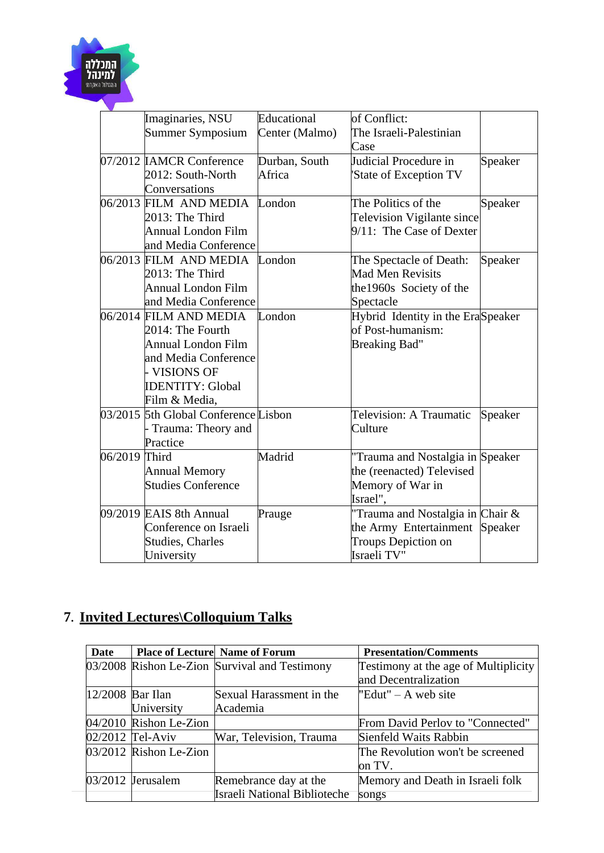

|               | Imaginaries, NSU                     | Educational    | of Conflict:                      |         |
|---------------|--------------------------------------|----------------|-----------------------------------|---------|
|               | Summer Symposium                     | Center (Malmo) | The Israeli-Palestinian           |         |
|               |                                      |                | Case                              |         |
|               | 07/2012 IAMCR Conference             | Durban, South  | Judicial Procedure in             | Speaker |
|               | 2012: South-North                    | Africa         | State of Exception TV             |         |
|               | Conversations                        |                |                                   |         |
|               | 06/2013 FILM AND MEDIA               | London         | The Politics of the               | Speaker |
|               | 2013: The Third                      |                | <b>Television Vigilante since</b> |         |
|               | <b>Annual London Film</b>            |                | 9/11: The Case of Dexter          |         |
|               | and Media Conference                 |                |                                   |         |
|               | 06/2013 FILM AND MEDIA               | London         | The Spectacle of Death:           | Speaker |
|               | 2013: The Third                      |                | <b>Mad Men Revisits</b>           |         |
|               | <b>Annual London Film</b>            |                | the 1960s Society of the          |         |
|               | and Media Conference                 |                | Spectacle                         |         |
|               | 06/2014 FILM AND MEDIA               | London         | Hybrid Identity in the EraSpeaker |         |
|               | 2014: The Fourth                     |                | of Post-humanism:                 |         |
|               | <b>Annual London Film</b>            |                | <b>Breaking Bad"</b>              |         |
|               | and Media Conference                 |                |                                   |         |
|               | - VISIONS OF                         |                |                                   |         |
|               | <b>IDENTITY: Global</b>              |                |                                   |         |
|               | Film & Media,                        |                |                                   |         |
|               | 03/2015 5th Global Conference Lisbon |                | Television: A Traumatic           | Speaker |
|               | - Trauma: Theory and                 |                | Culture                           |         |
|               | Practice                             |                |                                   |         |
| 06/2019 Third |                                      | Madrid         | "Trauma and Nostalgia in Speaker  |         |
|               | <b>Annual Memory</b>                 |                | the (reenacted) Televised         |         |
|               | <b>Studies Conference</b>            |                | Memory of War in                  |         |
|               |                                      |                | Israel",                          |         |
|               | 09/2019 EAIS 8th Annual              | Prauge         | Trauma and Nostalgia in Chair &   |         |
|               | Conference on Israeli                |                | the Army Entertainment Speaker    |         |
|               | <b>Studies, Charles</b>              |                | Troups Depiction on               |         |
|               | University                           |                | Israeli TV"                       |         |

# **7. Invited Lectures\Colloquium Talks**

| <b>Date</b>        |                          | <b>Place of Lecture Name of Forum</b>         | <b>Presentation/Comments</b>         |
|--------------------|--------------------------|-----------------------------------------------|--------------------------------------|
|                    |                          | 03/2008 Rishon Le-Zion Survival and Testimony | Testimony at the age of Multiplicity |
|                    |                          |                                               | and Decentralization                 |
| $12/2008$ Bar Ilan |                          | Sexual Harassment in the                      | "Edut" – A web site"                 |
|                    | University               | Academia                                      |                                      |
|                    | $04/2010$ Rishon Le-Zion |                                               | From David Perlov to "Connected"     |
|                    | $02/2012$ Tel-Aviv       | War, Television, Trauma                       | Sienfeld Waits Rabbin                |
|                    | 03/2012 Rishon Le-Zion   |                                               | The Revolution won't be screened     |
|                    |                          |                                               | on TV.                               |
|                    | 03/2012 Jerusalem        | Remebrance day at the                         | Memory and Death in Israeli folk     |
|                    |                          | Israeli National Biblioteche                  | songs                                |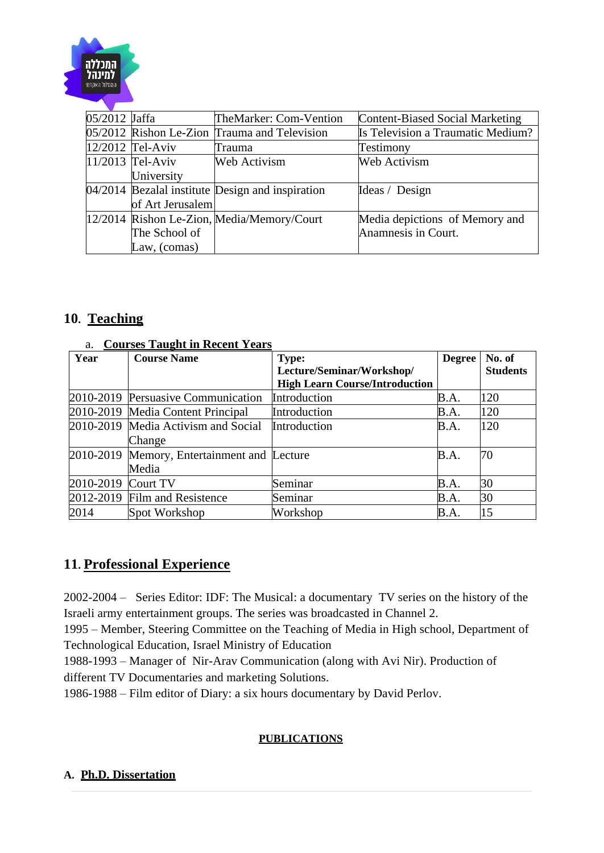

| 05/2012 Jaffa |                    | TheMarker: Com-Vention                               | Content-Biased Social Marketing   |
|---------------|--------------------|------------------------------------------------------|-----------------------------------|
|               |                    | 05/2012 Rishon Le-Zion Trauma and Television         | Is Television a Traumatic Medium? |
|               | $12/2012$ Tel-Aviv | Trauma                                               | Testimony                         |
|               | $11/2013$ Tel-Aviv | Web Activism                                         | Web Activism                      |
|               | University         |                                                      |                                   |
|               |                    | $[04/2014]$ Bezalal institute Design and inspiration | Ideas / Design                    |
|               | of Art Jerusalem   |                                                      |                                   |
|               |                    | 12/2014 Rishon Le-Zion, Media/Memory/Court           | Media depictions of Memory and    |
|               | The School of      |                                                      | Anamnesis in Court.               |
|               | Law, (comas)       |                                                      |                                   |

# **10. Teaching**

#### a. **Courses Taught in Recent Years**

| Year      | <b>Course Name</b>                          | <b>Type:</b>                          | Degree | No. of          |
|-----------|---------------------------------------------|---------------------------------------|--------|-----------------|
|           |                                             | Lecture/Seminar/Workshop/             |        | <b>Students</b> |
|           |                                             | <b>High Learn Course/Introduction</b> |        |                 |
|           | 2010-2019 Persuasive Communication          | Introduction                          | B.A.   | 120             |
|           | 2010-2019 Media Content Principal           | Introduction                          | B.A.   | 120             |
|           | 2010-2019 Media Activism and Social         | Introduction                          | B.A.   | 120             |
|           | Change                                      |                                       |        |                 |
|           | 2010-2019 Memory, Entertainment and Lecture |                                       | B.A.   | 70              |
|           | Media                                       |                                       |        |                 |
| 2010-2019 | Court TV                                    | Seminar                               | B.A.   | 30              |
|           | 2012-2019 Film and Resistence               | Seminar                               | B.A.   | 30              |
| 2014      | Spot Workshop                               | Workshop                              | B.A.   | 15              |

# **11. Professional Experience**

2002-2004 – Series Editor: IDF: The Musical: a documentary TV series on the history of the Israeli army entertainment groups. The series was broadcasted in Channel 2.

1995 – Member, Steering Committee on the Teaching of Media in High school, Department of Technological Education, Israel Ministry of Education

1988-1993 – Manager of Nir-Arav Communication (along with Avi Nir). Production of different TV Documentaries and marketing Solutions.

1986-1988 – Film editor of Diary: a six hours documentary by David Perlov.

### **PUBLICATIONS**

#### **A. Ph.D. Dissertation**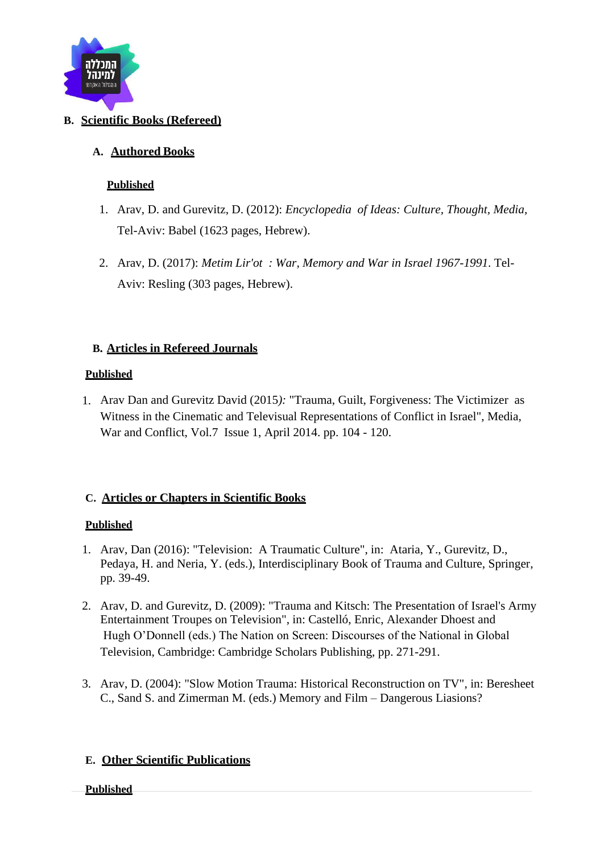

## **B. Scientific Books (Refereed)**

### **A. Authored Books**

#### **Published**

- 1. Arav, D. and Gurevitz, D. (2012): *Encyclopedia of Ideas: Culture, Thought, Media*, Tel-Aviv: Babel (1623 pages, Hebrew).
- 2. Arav, D. (2017): *Metim Lir'ot : War, Memory and War in Israel 1967-1991*. Tel-Aviv: Resling (303 pages, Hebrew).

#### **B. Articles in Refereed Journals**

#### **Published**

1. Arav Dan and Gurevitz David (2015*):* "Trauma, Guilt, Forgiveness: The Victimizer as Witness in the Cinematic and Televisual Representations of Conflict in Israel", Media, War and Conflict, Vol.7 Issue 1, April 2014. pp. 104 - 120.

### **C. Articles or Chapters in Scientific Books**

### **Published**

- 1. Arav, Dan (2016): "Television: A Traumatic Culture", in: Ataria, Y., Gurevitz, D., Pedaya, H. and Neria, Y. (eds.), Interdisciplinary Book of Trauma and Culture, Springer, pp. 39-49.
- 2. Arav, D. and Gurevitz, D. (2009): "Trauma and Kitsch: The Presentation of Israel's Army Entertainment Troupes on Television", in: Castelló, Enric, Alexander Dhoest and Hugh O'Donnell (eds.) The Nation on Screen: Discourses of the National in Global Television, Cambridge: Cambridge Scholars Publishing, pp. 271-291.
- 3. Arav, D. (2004): "Slow Motion Trauma: Historical Reconstruction on TV", in: Beresheet C., Sand S. and Zimerman M. (eds.) Memory and Film – Dangerous Liasions?

### **E. Other Scientific Publications**

#### **Published**